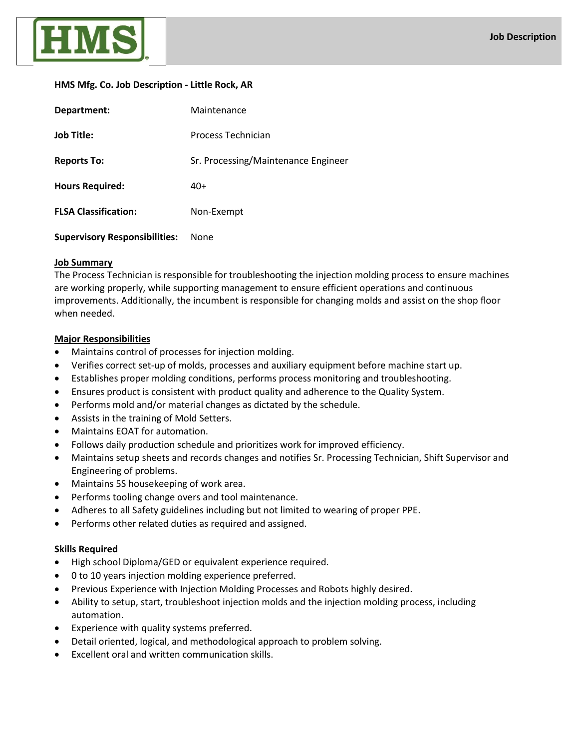

# **HMS Mfg. Co. Job Description - Little Rock, AR**

| Department:                          | Maintenance                         |
|--------------------------------------|-------------------------------------|
| <b>Job Title:</b>                    | Process Technician                  |
| <b>Reports To:</b>                   | Sr. Processing/Maintenance Engineer |
| <b>Hours Required:</b>               | 40+                                 |
| <b>FLSA Classification:</b>          | Non-Exempt                          |
| <b>Supervisory Responsibilities:</b> | None                                |

# **Job Summary**

The Process Technician is responsible for troubleshooting the injection molding process to ensure machines are working properly, while supporting management to ensure efficient operations and continuous improvements. Additionally, the incumbent is responsible for changing molds and assist on the shop floor when needed.

# **Major Responsibilities**

- Maintains control of processes for injection molding.
- Verifies correct set-up of molds, processes and auxiliary equipment before machine start up.
- Establishes proper molding conditions, performs process monitoring and troubleshooting.
- Ensures product is consistent with product quality and adherence to the Quality System.
- Performs mold and/or material changes as dictated by the schedule.
- Assists in the training of Mold Setters.
- Maintains EOAT for automation.
- Follows daily production schedule and prioritizes work for improved efficiency.
- Maintains setup sheets and records changes and notifies Sr. Processing Technician, Shift Supervisor and Engineering of problems.
- Maintains 5S housekeeping of work area.
- Performs tooling change overs and tool maintenance.
- Adheres to all Safety guidelines including but not limited to wearing of proper PPE.
- Performs other related duties as required and assigned.

# **Skills Required**

- High school Diploma/GED or equivalent experience required.
- 0 to 10 years injection molding experience preferred.
- Previous Experience with Injection Molding Processes and Robots highly desired.
- Ability to setup, start, troubleshoot injection molds and the injection molding process, including automation.
- Experience with quality systems preferred.
- Detail oriented, logical, and methodological approach to problem solving.
- Excellent oral and written communication skills.